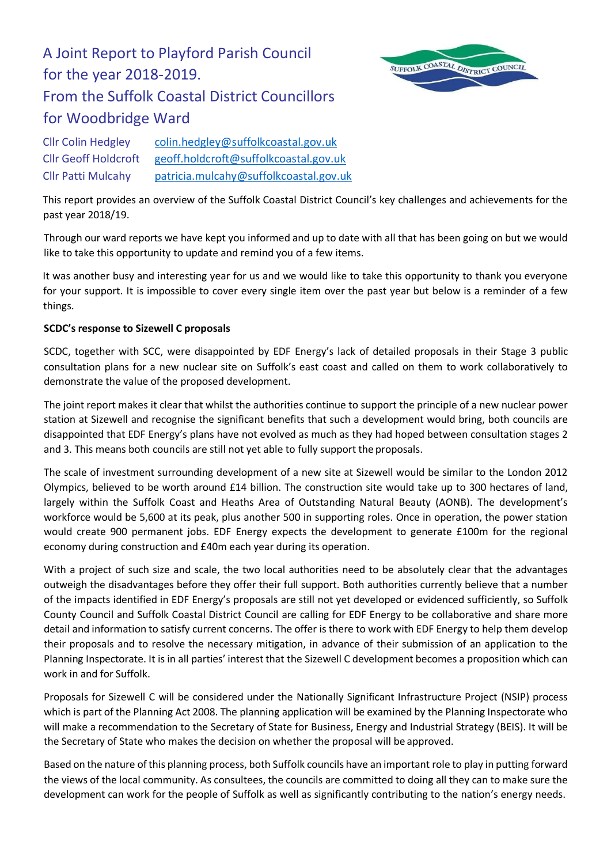# A Joint Report to Playford Parish Council for the year 2018-2019. From the Suffolk Coastal District Councillors for Woodbridge Ward



Cllr Colin Hedgley colin.hedgley@suffolkcoastal.gov.uk Cllr Geoff Holdcroft geoff.holdcroft@suffolkcoastal.gov.uk Cllr Patti Mulcahy patricia.mulcahy@suffolkcoastal.gov.uk

This report provides an overview of the Suffolk Coastal District Council's key challenges and achievements for the past year 2018/19.

Through our ward reports we have kept you informed and up to date with all that has been going on but we would like to take this opportunity to update and remind you of a few items.

It was another busy and interesting year for us and we would like to take this opportunity to thank you everyone for your support. It is impossible to cover every single item over the past year but below is a reminder of a few things.

## SCDC's response to Sizewell C proposals

SCDC, together with SCC, were disappointed by EDF Energy's lack of detailed proposals in their Stage 3 public consultation plans for a new nuclear site on Suffolk's east coast and called on them to work collaboratively to demonstrate the value of the proposed development.

The joint report makes it clear that whilst the authorities continue to support the principle of a new nuclear power station at Sizewell and recognise the significant benefits that such a development would bring, both councils are disappointed that EDF Energy's plans have not evolved as much as they had hoped between consultation stages 2 and 3. This means both councils are still not yet able to fully support the proposals.

The scale of investment surrounding development of a new site at Sizewell would be similar to the London 2012 Olympics, believed to be worth around £14 billion. The construction site would take up to 300 hectares of land, largely within the Suffolk Coast and Heaths Area of Outstanding Natural Beauty (AONB). The development's workforce would be 5,600 at its peak, plus another 500 in supporting roles. Once in operation, the power station would create 900 permanent jobs. EDF Energy expects the development to generate £100m for the regional economy during construction and £40m each year during its operation.

With a project of such size and scale, the two local authorities need to be absolutely clear that the advantages outweigh the disadvantages before they offer their full support. Both authorities currently believe that a number of the impacts identified in EDF Energy's proposals are still not yet developed or evidenced sufficiently, so Suffolk County Council and Suffolk Coastal District Council are calling for EDF Energy to be collaborative and share more detail and information to satisfy current concerns. The offer is there to work with EDF Energy to help them develop their proposals and to resolve the necessary mitigation, in advance of their submission of an application to the Planning Inspectorate. It is in all parties' interest that the Sizewell C development becomes a proposition which can work in and for Suffolk.

Proposals for Sizewell C will be considered under the Nationally Significant Infrastructure Project (NSIP) process which is part of the Planning Act 2008. The planning application will be examined by the Planning Inspectorate who will make a recommendation to the Secretary of State for Business, Energy and Industrial Strategy (BEIS). It will be the Secretary of State who makes the decision on whether the proposal will be approved.

Based on the nature of this planning process, both Suffolk councils have an important role to play in putting forward the views of the local community. As consultees, the councils are committed to doing all they can to make sure the development can work for the people of Suffolk as well as significantly contributing to the nation's energy needs.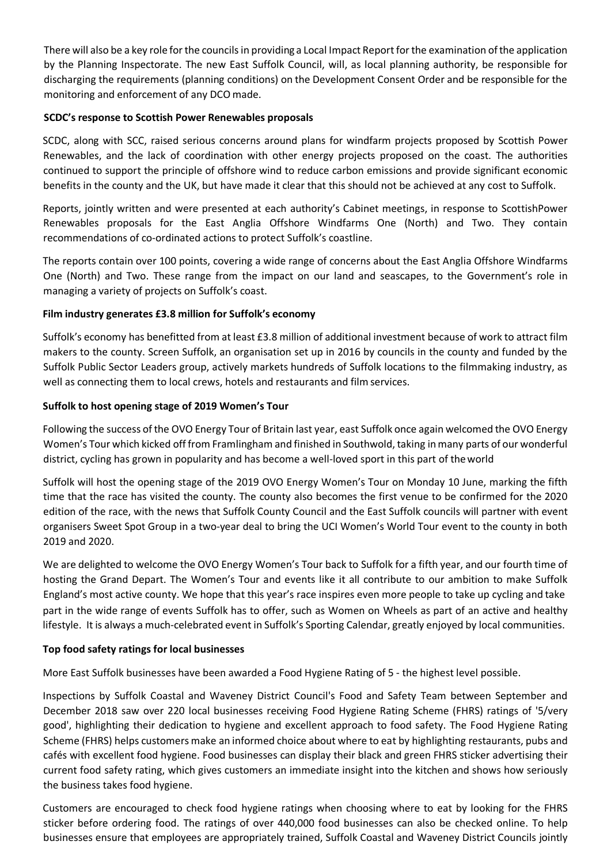There will also be a key role for the councils in providing a Local Impact Report for the examination of the application by the Planning Inspectorate. The new East Suffolk Council, will, as local planning authority, be responsible for discharging the requirements (planning conditions) on the Development Consent Order and be responsible for the monitoring and enforcement of any DCO made.

## SCDC's response to Scottish Power Renewables proposals

SCDC, along with SCC, raised serious concerns around plans for windfarm projects proposed by Scottish Power Renewables, and the lack of coordination with other energy projects proposed on the coast. The authorities continued to support the principle of offshore wind to reduce carbon emissions and provide significant economic benefits in the county and the UK, but have made it clear that this should not be achieved at any cost to Suffolk.

Reports, jointly written and were presented at each authority's Cabinet meetings, in response to ScottishPower Renewables proposals for the East Anglia Offshore Windfarms One (North) and Two. They contain recommendations of co-ordinated actions to protect Suffolk's coastline.

The reports contain over 100 points, covering a wide range of concerns about the East Anglia Offshore Windfarms One (North) and Two. These range from the impact on our land and seascapes, to the Government's role in managing a variety of projects on Suffolk's coast.

## Film industry generates £3.8 million for Suffolk's economy

Suffolk's economy has benefitted from at least £3.8 million of additional investment because of work to attract film makers to the county. Screen Suffolk, an organisation set up in 2016 by councils in the county and funded by the Suffolk Public Sector Leaders group, actively markets hundreds of Suffolk locations to the filmmaking industry, as well as connecting them to local crews, hotels and restaurants and film services.

## Suffolk to host opening stage of 2019 Women's Tour

Following the success of the OVO Energy Tour of Britain last year, east Suffolk once again welcomed the OVO Energy Women's Tour which kicked off from Framlingham and finished in Southwold, taking in many parts of our wonderful district, cycling has grown in popularity and has become a well-loved sport in this part of the world

Suffolk will host the opening stage of the 2019 OVO Energy Women's Tour on Monday 10 June, marking the fifth time that the race has visited the county. The county also becomes the first venue to be confirmed for the 2020 edition of the race, with the news that Suffolk County Council and the East Suffolk councils will partner with event organisers Sweet Spot Group in a two-year deal to bring the UCI Women's World Tour event to the county in both 2019 and 2020.

We are delighted to welcome the OVO Energy Women's Tour back to Suffolk for a fifth year, and our fourth time of hosting the Grand Depart. The Women's Tour and events like it all contribute to our ambition to make Suffolk England's most active county. We hope that this year's race inspires even more people to take up cycling and take part in the wide range of events Suffolk has to offer, such as Women on Wheels as part of an active and healthy lifestyle. It is always a much-celebrated event in Suffolk's Sporting Calendar, greatly enjoyed by local communities.

#### Top food safety ratings for local businesses

More East Suffolk businesses have been awarded a Food Hygiene Rating of 5 - the highest level possible.

Inspections by Suffolk Coastal and Waveney District Council's Food and Safety Team between September and December 2018 saw over 220 local businesses receiving Food Hygiene Rating Scheme (FHRS) ratings of '5/very good', highlighting their dedication to hygiene and excellent approach to food safety. The Food Hygiene Rating Scheme (FHRS) helps customers make an informed choice about where to eat by highlighting restaurants, pubs and cafés with excellent food hygiene. Food businesses can display their black and green FHRS sticker advertising their current food safety rating, which gives customers an immediate insight into the kitchen and shows how seriously the business takes food hygiene.

Customers are encouraged to check food hygiene ratings when choosing where to eat by looking for the FHRS sticker before ordering food. The ratings of over 440,000 food businesses can also be checked online. To help businesses ensure that employees are appropriately trained, Suffolk Coastal and Waveney District Councils jointly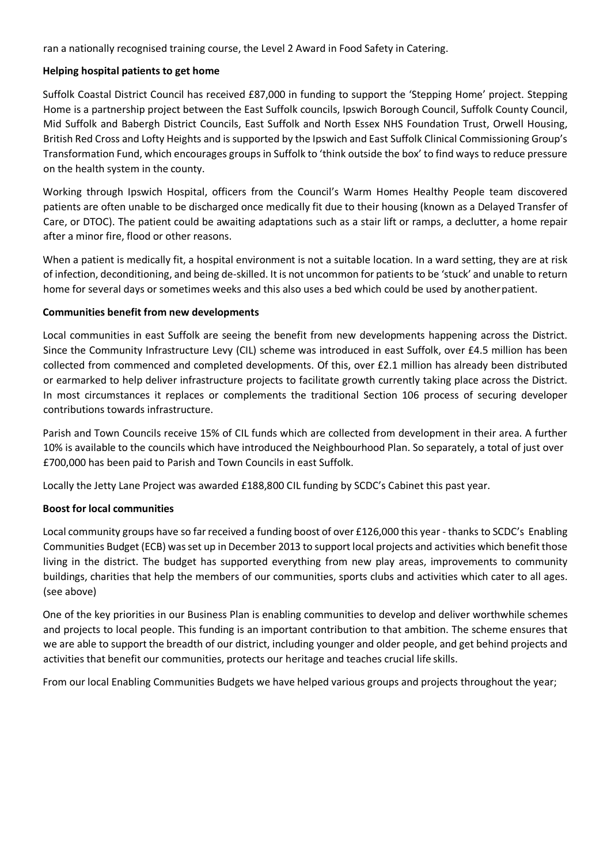ran a nationally recognised training course, the Level 2 Award in Food Safety in Catering.

## Helping hospital patients to get home

Suffolk Coastal District Council has received £87,000 in funding to support the 'Stepping Home' project. Stepping Home is a partnership project between the East Suffolk councils, Ipswich Borough Council, Suffolk County Council, Mid Suffolk and Babergh District Councils, East Suffolk and North Essex NHS Foundation Trust, Orwell Housing, British Red Cross and Lofty Heights and is supported by the Ipswich and East Suffolk Clinical Commissioning Group's Transformation Fund, which encourages groups in Suffolk to 'think outside the box' to find ways to reduce pressure on the health system in the county.

Working through Ipswich Hospital, officers from the Council's Warm Homes Healthy People team discovered patients are often unable to be discharged once medically fit due to their housing (known as a Delayed Transfer of Care, or DTOC). The patient could be awaiting adaptations such as a stair lift or ramps, a declutter, a home repair after a minor fire, flood or other reasons.

When a patient is medically fit, a hospital environment is not a suitable location. In a ward setting, they are at risk of infection, deconditioning, and being de-skilled. It is not uncommon for patients to be 'stuck' and unable to return home for several days or sometimes weeks and this also uses a bed which could be used by another patient.

## Communities benefit from new developments

Local communities in east Suffolk are seeing the benefit from new developments happening across the District. Since the Community Infrastructure Levy (CIL) scheme was introduced in east Suffolk, over £4.5 million has been collected from commenced and completed developments. Of this, over £2.1 million has already been distributed or earmarked to help deliver infrastructure projects to facilitate growth currently taking place across the District. In most circumstances it replaces or complements the traditional Section 106 process of securing developer contributions towards infrastructure.

Parish and Town Councils receive 15% of CIL funds which are collected from development in their area. A further 10% is available to the councils which have introduced the Neighbourhood Plan. So separately, a total of just over £700,000 has been paid to Parish and Town Councils in east Suffolk.

Locally the Jetty Lane Project was awarded £188,800 CIL funding by SCDC's Cabinet this past year.

## Boost for local communities

Local community groups have so far received a funding boost of over £126,000 this year - thanks to SCDC's Enabling Communities Budget (ECB) was set up in December 2013 to support local projects and activities which benefit those living in the district. The budget has supported everything from new play areas, improvements to community buildings, charities that help the members of our communities, sports clubs and activities which cater to all ages. (see above)

One of the key priorities in our Business Plan is enabling communities to develop and deliver worthwhile schemes and projects to local people. This funding is an important contribution to that ambition. The scheme ensures that we are able to support the breadth of our district, including younger and older people, and get behind projects and activities that benefit our communities, protects our heritage and teaches crucial life skills.

From our local Enabling Communities Budgets we have helped various groups and projects throughout the year;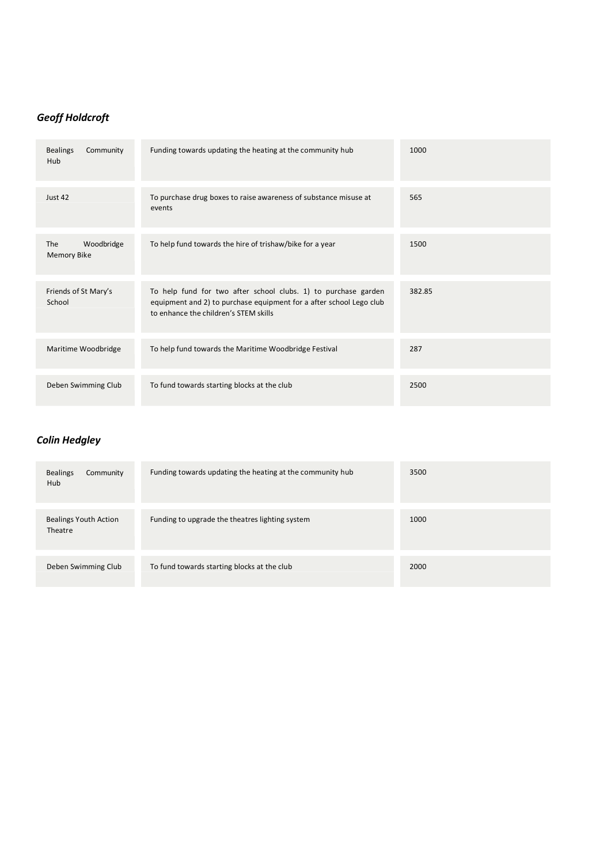## Geoff Holdcroft

| <b>Bealings</b><br>Community<br>Hub | Funding towards updating the heating at the community hub                                                                                                                      | 1000   |
|-------------------------------------|--------------------------------------------------------------------------------------------------------------------------------------------------------------------------------|--------|
| Just 42                             | To purchase drug boxes to raise awareness of substance misuse at<br>events                                                                                                     | 565    |
| Woodbridge<br>The<br>Memory Bike    | To help fund towards the hire of trishaw/bike for a year                                                                                                                       | 1500   |
| Friends of St Mary's<br>School      | To help fund for two after school clubs. 1) to purchase garden<br>equipment and 2) to purchase equipment for a after school Lego club<br>to enhance the children's STEM skills | 382.85 |
| Maritime Woodbridge                 | To help fund towards the Maritime Woodbridge Festival                                                                                                                          | 287    |
| Deben Swimming Club                 | To fund towards starting blocks at the club                                                                                                                                    | 2500   |

# Colin Hedgley

| <b>Bealings</b><br>Community<br><b>Hub</b> | Funding towards updating the heating at the community hub | 3500 |
|--------------------------------------------|-----------------------------------------------------------|------|
| Bealings Youth Action<br>Theatre           | Funding to upgrade the theatres lighting system           | 1000 |
| Deben Swimming Club                        | To fund towards starting blocks at the club               | 2000 |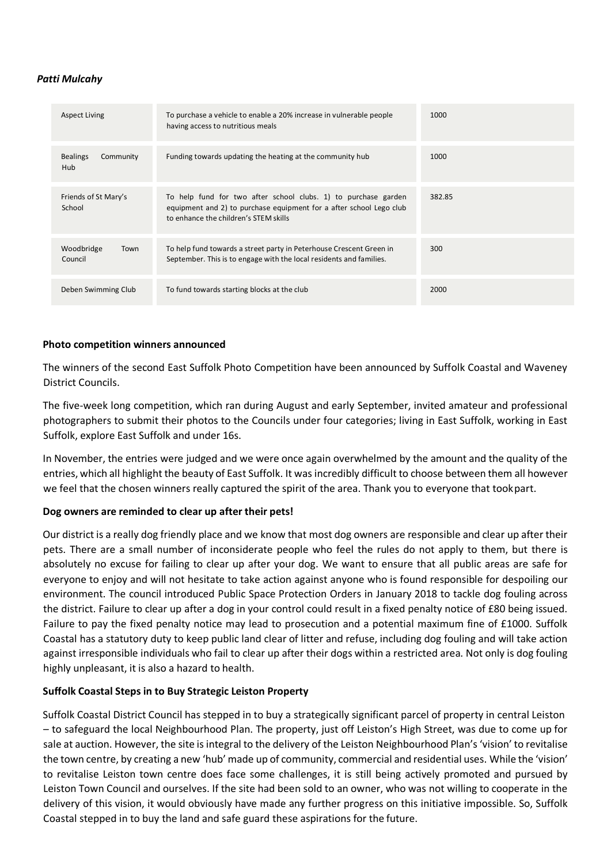#### Patti Mulcahy

| <b>Aspect Living</b>                | To purchase a vehicle to enable a 20% increase in vulnerable people<br>having access to nutritious meals                                                                       | 1000   |
|-------------------------------------|--------------------------------------------------------------------------------------------------------------------------------------------------------------------------------|--------|
| <b>Bealings</b><br>Community<br>Hub | Funding towards updating the heating at the community hub                                                                                                                      | 1000   |
| Friends of St Mary's<br>School      | To help fund for two after school clubs. 1) to purchase garden<br>equipment and 2) to purchase equipment for a after school Lego club<br>to enhance the children's STEM skills | 382.85 |
| Woodbridge<br>Town<br>Council       | To help fund towards a street party in Peterhouse Crescent Green in<br>September. This is to engage with the local residents and families.                                     | 300    |
| Deben Swimming Club                 | To fund towards starting blocks at the club                                                                                                                                    | 2000   |

#### Photo competition winners announced

The winners of the second East Suffolk Photo Competition have been announced by Suffolk Coastal and Waveney District Councils.

The five-week long competition, which ran during August and early September, invited amateur and professional photographers to submit their photos to the Councils under four categories; living in East Suffolk, working in East Suffolk, explore East Suffolk and under 16s.

In November, the entries were judged and we were once again overwhelmed by the amount and the quality of the entries, which all highlight the beauty of East Suffolk. It was incredibly difficult to choose between them all however we feel that the chosen winners really captured the spirit of the area. Thank you to everyone that took part.

#### Dog owners are reminded to clear up after their pets!

Our district is a really dog friendly place and we know that most dog owners are responsible and clear up after their pets. There are a small number of inconsiderate people who feel the rules do not apply to them, but there is absolutely no excuse for failing to clear up after your dog. We want to ensure that all public areas are safe for everyone to enjoy and will not hesitate to take action against anyone who is found responsible for despoiling our environment. The council introduced Public Space Protection Orders in January 2018 to tackle dog fouling across the district. Failure to clear up after a dog in your control could result in a fixed penalty notice of £80 being issued. Failure to pay the fixed penalty notice may lead to prosecution and a potential maximum fine of £1000. Suffolk Coastal has a statutory duty to keep public land clear of litter and refuse, including dog fouling and will take action against irresponsible individuals who fail to clear up after their dogs within a restricted area. Not only is dog fouling highly unpleasant, it is also a hazard to health.

#### Suffolk Coastal Steps in to Buy Strategic Leiston Property

Suffolk Coastal District Council has stepped in to buy a strategically significant parcel of property in central Leiston – to safeguard the local Neighbourhood Plan. The property, just off Leiston's High Street, was due to come up for sale at auction. However, the site is integral to the delivery of the Leiston Neighbourhood Plan's 'vision' to revitalise the town centre, by creating a new 'hub' made up of community, commercial and residential uses. While the 'vision' to revitalise Leiston town centre does face some challenges, it is still being actively promoted and pursued by Leiston Town Council and ourselves. If the site had been sold to an owner, who was not willing to cooperate in the delivery of this vision, it would obviously have made any further progress on this initiative impossible. So, Suffolk Coastal stepped in to buy the land and safe guard these aspirations for the future.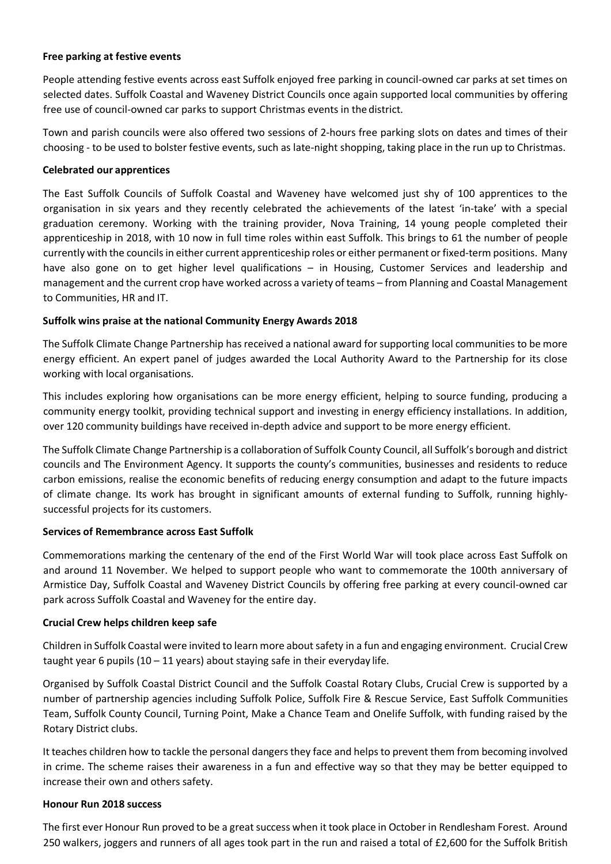#### Free parking at festive events

People attending festive events across east Suffolk enjoyed free parking in council-owned car parks at set times on selected dates. Suffolk Coastal and Waveney District Councils once again supported local communities by offering free use of council-owned car parks to support Christmas events in the district.

Town and parish councils were also offered two sessions of 2-hours free parking slots on dates and times of their choosing - to be used to bolster festive events, such as late-night shopping, taking place in the run up to Christmas.

## Celebrated our apprentices

The East Suffolk Councils of Suffolk Coastal and Waveney have welcomed just shy of 100 apprentices to the organisation in six years and they recently celebrated the achievements of the latest 'in-take' with a special graduation ceremony. Working with the training provider, Nova Training, 14 young people completed their apprenticeship in 2018, with 10 now in full time roles within east Suffolk. This brings to 61 the number of people currently with the councils in either current apprenticeship roles or either permanent or fixed-term positions. Many have also gone on to get higher level qualifications – in Housing, Customer Services and leadership and management and the current crop have worked across a variety of teams – from Planning and Coastal Management to Communities, HR and IT.

## Suffolk wins praise at the national Community Energy Awards 2018

The Suffolk Climate Change Partnership has received a national award for supporting local communities to be more energy efficient. An expert panel of judges awarded the Local Authority Award to the Partnership for its close working with local organisations.

This includes exploring how organisations can be more energy efficient, helping to source funding, producing a community energy toolkit, providing technical support and investing in energy efficiency installations. In addition, over 120 community buildings have received in-depth advice and support to be more energy efficient.

The Suffolk Climate Change Partnership is a collaboration of Suffolk County Council, all Suffolk's borough and district councils and The Environment Agency. It supports the county's communities, businesses and residents to reduce carbon emissions, realise the economic benefits of reducing energy consumption and adapt to the future impacts of climate change. Its work has brought in significant amounts of external funding to Suffolk, running highlysuccessful projects for its customers.

## Services of Remembrance across East Suffolk

Commemorations marking the centenary of the end of the First World War will took place across East Suffolk on and around 11 November. We helped to support people who want to commemorate the 100th anniversary of Armistice Day, Suffolk Coastal and Waveney District Councils by offering free parking at every council-owned car park across Suffolk Coastal and Waveney for the entire day.

## Crucial Crew helps children keep safe

Children in Suffolk Coastal were invited to learn more about safety in a fun and engaging environment. Crucial Crew taught year 6 pupils  $(10 - 11$  years) about staying safe in their everyday life.

Organised by Suffolk Coastal District Council and the Suffolk Coastal Rotary Clubs, Crucial Crew is supported by a number of partnership agencies including Suffolk Police, Suffolk Fire & Rescue Service, East Suffolk Communities Team, Suffolk County Council, Turning Point, Make a Chance Team and Onelife Suffolk, with funding raised by the Rotary District clubs.

It teaches children how to tackle the personal dangers they face and helps to prevent them from becoming involved in crime. The scheme raises their awareness in a fun and effective way so that they may be better equipped to increase their own and others safety.

#### Honour Run 2018 success

The first ever Honour Run proved to be a great success when it took place in October in Rendlesham Forest. Around 250 walkers, joggers and runners of all ages took part in the run and raised a total of £2,600 for the Suffolk British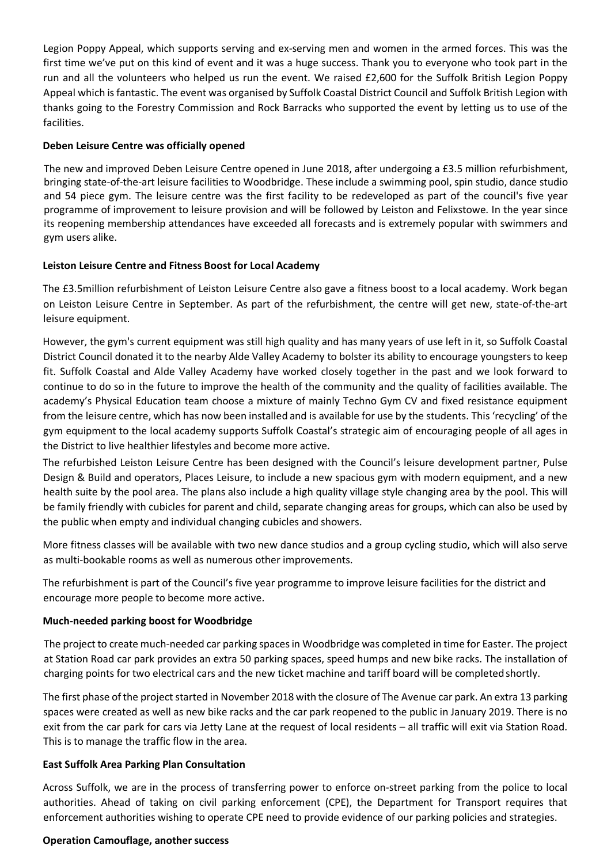Legion Poppy Appeal, which supports serving and ex-serving men and women in the armed forces. This was the first time we've put on this kind of event and it was a huge success. Thank you to everyone who took part in the run and all the volunteers who helped us run the event. We raised £2,600 for the Suffolk British Legion Poppy Appeal which is fantastic. The event was organised by Suffolk Coastal District Council and Suffolk British Legion with thanks going to the Forestry Commission and Rock Barracks who supported the event by letting us to use of the facilities.

#### Deben Leisure Centre was officially opened

The new and improved Deben Leisure Centre opened in June 2018, after undergoing a £3.5 million refurbishment, bringing state-of-the-art leisure facilities to Woodbridge. These include a swimming pool, spin studio, dance studio and 54 piece gym. The leisure centre was the first facility to be redeveloped as part of the council's five year programme of improvement to leisure provision and will be followed by Leiston and Felixstowe. In the year since its reopening membership attendances have exceeded all forecasts and is extremely popular with swimmers and gym users alike.

## Leiston Leisure Centre and Fitness Boost for Local Academy

The £3.5million refurbishment of Leiston Leisure Centre also gave a fitness boost to a local academy. Work began on Leiston Leisure Centre in September. As part of the refurbishment, the centre will get new, state-of-the-art leisure equipment.

However, the gym's current equipment was still high quality and has many years of use left in it, so Suffolk Coastal District Council donated it to the nearby Alde Valley Academy to bolster its ability to encourage youngsters to keep fit. Suffolk Coastal and Alde Valley Academy have worked closely together in the past and we look forward to continue to do so in the future to improve the health of the community and the quality of facilities available. The academy's Physical Education team choose a mixture of mainly Techno Gym CV and fixed resistance equipment from the leisure centre, which has now been installed and is available for use by the students. This 'recycling' of the gym equipment to the local academy supports Suffolk Coastal's strategic aim of encouraging people of all ages in the District to live healthier lifestyles and become more active.

The refurbished Leiston Leisure Centre has been designed with the Council's leisure development partner, Pulse Design & Build and operators, Places Leisure, to include a new spacious gym with modern equipment, and a new health suite by the pool area. The plans also include a high quality village style changing area by the pool. This will be family friendly with cubicles for parent and child, separate changing areas for groups, which can also be used by the public when empty and individual changing cubicles and showers.

More fitness classes will be available with two new dance studios and a group cycling studio, which will also serve as multi-bookable rooms as well as numerous other improvements.

The refurbishment is part of the Council's five year programme to improve leisure facilities for the district and encourage more people to become more active.

#### Much-needed parking boost for Woodbridge

The project to create much-needed car parking spaces in Woodbridge was completed in time for Easter. The project at Station Road car park provides an extra 50 parking spaces, speed humps and new bike racks. The installation of charging points for two electrical cars and the new ticket machine and tariff board will be completed shortly.

The first phase of the project started in November 2018 with the closure of The Avenue car park. An extra 13 parking spaces were created as well as new bike racks and the car park reopened to the public in January 2019. There is no exit from the car park for cars via Jetty Lane at the request of local residents – all traffic will exit via Station Road. This is to manage the traffic flow in the area.

## East Suffolk Area Parking Plan Consultation

Across Suffolk, we are in the process of transferring power to enforce on-street parking from the police to local authorities. Ahead of taking on civil parking enforcement (CPE), the Department for Transport requires that enforcement authorities wishing to operate CPE need to provide evidence of our parking policies and strategies.

#### Operation Camouflage, another success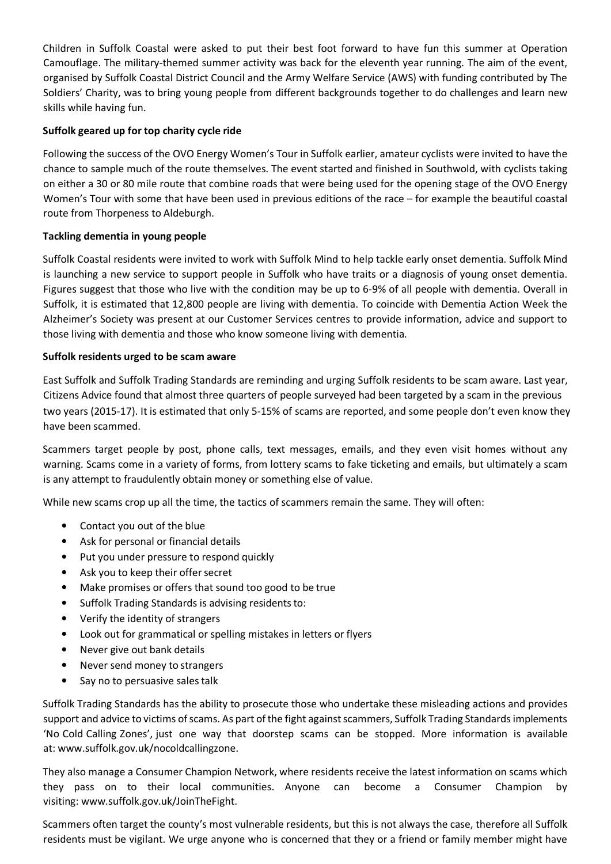Children in Suffolk Coastal were asked to put their best foot forward to have fun this summer at Operation Camouflage. The military-themed summer activity was back for the eleventh year running. The aim of the event, organised by Suffolk Coastal District Council and the Army Welfare Service (AWS) with funding contributed by The Soldiers' Charity, was to bring young people from different backgrounds together to do challenges and learn new skills while having fun.

## Suffolk geared up for top charity cycle ride

Following the success of the OVO Energy Women's Tour in Suffolk earlier, amateur cyclists were invited to have the chance to sample much of the route themselves. The event started and finished in Southwold, with cyclists taking on either a 30 or 80 mile route that combine roads that were being used for the opening stage of the OVO Energy Women's Tour with some that have been used in previous editions of the race – for example the beautiful coastal route from Thorpeness to Aldeburgh.

## Tackling dementia in young people

Suffolk Coastal residents were invited to work with Suffolk Mind to help tackle early onset dementia. Suffolk Mind is launching a new service to support people in Suffolk who have traits or a diagnosis of young onset dementia. Figures suggest that those who live with the condition may be up to 6-9% of all people with dementia. Overall in Suffolk, it is estimated that 12,800 people are living with dementia. To coincide with Dementia Action Week the Alzheimer's Society was present at our Customer Services centres to provide information, advice and support to those living with dementia and those who know someone living with dementia.

## Suffolk residents urged to be scam aware

East Suffolk and Suffolk Trading Standards are reminding and urging Suffolk residents to be scam aware. Last year, Citizens Advice found that almost three quarters of people surveyed had been targeted by a scam in the previous two years (2015-17). It is estimated that only 5-15% of scams are reported, and some people don't even know they have been scammed.

Scammers target people by post, phone calls, text messages, emails, and they even visit homes without any warning. Scams come in a variety of forms, from lottery scams to fake ticketing and emails, but ultimately a scam is any attempt to fraudulently obtain money or something else of value.

While new scams crop up all the time, the tactics of scammers remain the same. They will often:

- Contact you out of the blue
- Ask for personal or financial details
- Put you under pressure to respond quickly
- Ask you to keep their offer secret
- Make promises or offers that sound too good to be true
- Suffolk Trading Standards is advising residents to:
- Verify the identity of strangers
- Look out for grammatical or spelling mistakes in letters or flyers
- Never give out bank details
- Never send money to strangers
- Say no to persuasive sales talk

Suffolk Trading Standards has the ability to prosecute those who undertake these misleading actions and provides support and advice to victims of scams. As part of the fight against scammers, Suffolk Trading Standards implements 'No Cold Calling Zones', just one way that doorstep scams can be stopped. More information is available at: www.suffolk.gov.uk/nocoldcallingzone.

They also manage a Consumer Champion Network, where residents receive the latest information on scams which they pass on to their local communities. Anyone can become a Consumer Champion by visiting: www.suffolk.gov.uk/JoinTheFight.

Scammers often target the county's most vulnerable residents, but this is not always the case, therefore all Suffolk residents must be vigilant. We urge anyone who is concerned that they or a friend or family member might have